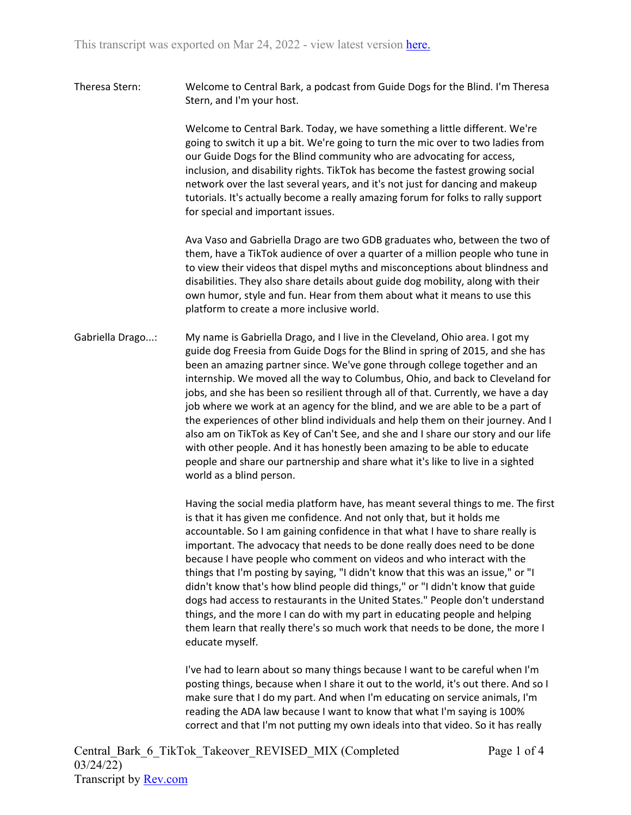Theresa Stern: Welcome to Central Bark, a podcast from Guide Dogs for the Blind. I'm Theresa Stern, and I'm your host.

> Welcome to Central Bark. Today, we have something a little different. We're going to switch it up a bit. We're going to turn the mic over to two ladies from our Guide Dogs for the Blind community who are advocating for access, inclusion, and disability rights. TikTok has become the fastest growing social network over the last several years, and it's not just for dancing and makeup tutorials. It's actually become a really amazing forum for folks to rally support for special and important issues.

Ava Vaso and Gabriella Drago are two GDB graduates who, between the two of them, have a TikTok audience of over a quarter of a million people who tune in to view their videos that dispel myths and misconceptions about blindness and disabilities. They also share details about guide dog mobility, along with their own humor, style and fun. Hear from them about what it means to use this platform to create a more inclusive world.

Gabriella Drago...: My name is Gabriella Drago, and I live in the Cleveland, Ohio area. I got my guide dog Freesia from Guide Dogs for the Blind in spring of 2015, and she has been an amazing partner since. We've gone through college together and an internship. We moved all the way to Columbus, Ohio, and back to Cleveland for jobs, and she has been so resilient through all of that. Currently, we have a day job where we work at an agency for the blind, and we are able to be a part of the experiences of other blind individuals and help them on their journey. And I also am on TikTok as Key of Can't See, and she and I share our story and our life with other people. And it has honestly been amazing to be able to educate people and share our partnership and share what it's like to live in a sighted world as a blind person.

> Having the social media platform have, has meant several things to me. The first is that it has given me confidence. And not only that, but it holds me accountable. So I am gaining confidence in that what I have to share really is important. The advocacy that needs to be done really does need to be done because I have people who comment on videos and who interact with the things that I'm posting by saying, "I didn't know that this was an issue," or "I didn't know that's how blind people did things," or "I didn't know that guide dogs had access to restaurants in the United States." People don't understand things, and the more I can do with my part in educating people and helping them learn that really there's so much work that needs to be done, the more I educate myself.

I've had to learn about so many things because I want to be careful when I'm posting things, because when I share it out to the world, it's out there. And so I make sure that I do my part. And when I'm educating on service animals, I'm reading the ADA law because I want to know that what I'm saying is 100% correct and that I'm not putting my own ideals into that video. So it has really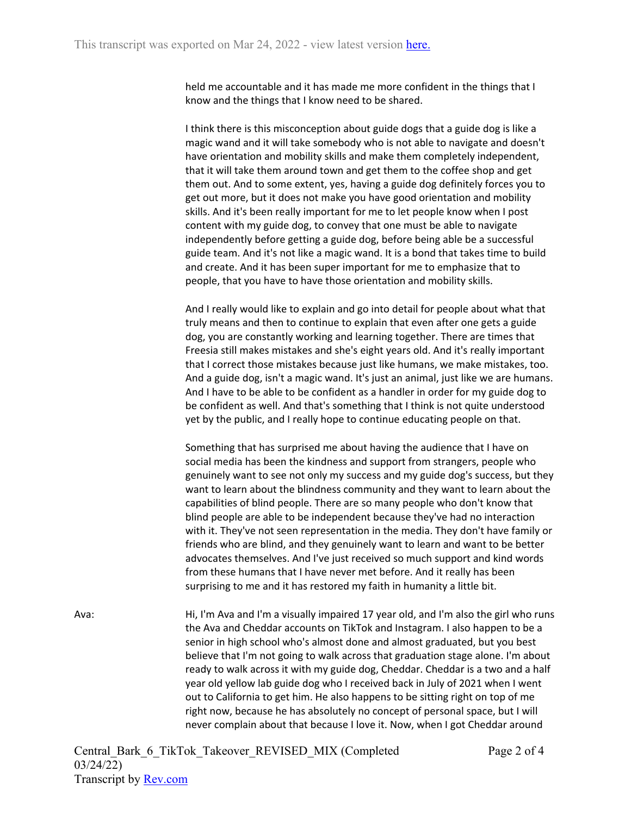held me accountable and it has made me more confident in the things that I know and the things that I know need to be shared.

I think there is this misconception about guide dogs that a guide dog is like a magic wand and it will take somebody who is not able to navigate and doesn't have orientation and mobility skills and make them completely independent, that it will take them around town and get them to the coffee shop and get them out. And to some extent, yes, having a guide dog definitely forces you to get out more, but it does not make you have good orientation and mobility skills. And it's been really important for me to let people know when I post content with my guide dog, to convey that one must be able to navigate independently before getting a guide dog, before being able be a successful guide team. And it's not like a magic wand. It is a bond that takes time to build and create. And it has been super important for me to emphasize that to people, that you have to have those orientation and mobility skills.

And I really would like to explain and go into detail for people about what that truly means and then to continue to explain that even after one gets a guide dog, you are constantly working and learning together. There are times that Freesia still makes mistakes and she's eight years old. And it's really important that I correct those mistakes because just like humans, we make mistakes, too. And a guide dog, isn't a magic wand. It's just an animal, just like we are humans. And I have to be able to be confident as a handler in order for my guide dog to be confident as well. And that's something that I think is not quite understood yet by the public, and I really hope to continue educating people on that.

Something that has surprised me about having the audience that I have on social media has been the kindness and support from strangers, people who genuinely want to see not only my success and my guide dog's success, but they want to learn about the blindness community and they want to learn about the capabilities of blind people. There are so many people who don't know that blind people are able to be independent because they've had no interaction with it. They've not seen representation in the media. They don't have family or friends who are blind, and they genuinely want to learn and want to be better advocates themselves. And I've just received so much support and kind words from these humans that I have never met before. And it really has been surprising to me and it has restored my faith in humanity a little bit.

Ava: Hi, I'm Ava and I'm a visually impaired 17 year old, and I'm also the girl who runs the Ava and Cheddar accounts on TikTok and Instagram. I also happen to be a senior in high school who's almost done and almost graduated, but you best believe that I'm not going to walk across that graduation stage alone. I'm about ready to walk across it with my guide dog, Cheddar. Cheddar is a two and a half year old yellow lab guide dog who I received back in July of 2021 when I went out to California to get him. He also happens to be sitting right on top of me right now, because he has absolutely no concept of personal space, but I will never complain about that because I love it. Now, when I got Cheddar around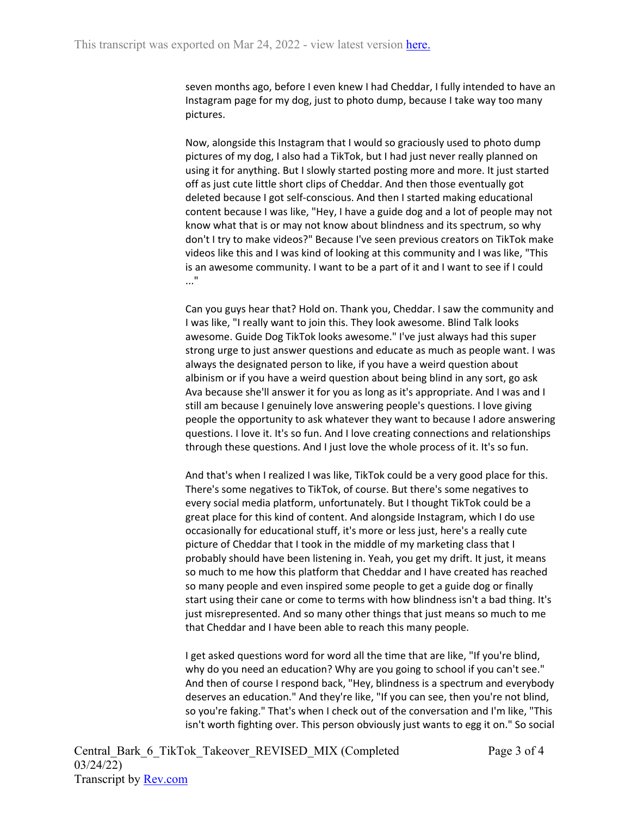seven months ago, before I even knew I had Cheddar, I fully intended to have an Instagram page for my dog, just to photo dump, because I take way too many pictures.

Now, alongside this Instagram that I would so graciously used to photo dump pictures of my dog, I also had a TikTok, but I had just never really planned on using it for anything. But I slowly started posting more and more. It just started off as just cute little short clips of Cheddar. And then those eventually got deleted because I got self-conscious. And then I started making educational content because I was like, "Hey, I have a guide dog and a lot of people may not know what that is or may not know about blindness and its spectrum, so why don't I try to make videos?" Because I've seen previous creators on TikTok make videos like this and I was kind of looking at this community and I was like, "This is an awesome community. I want to be a part of it and I want to see if I could ..."

Can you guys hear that? Hold on. Thank you, Cheddar. I saw the community and I was like, "I really want to join this. They look awesome. Blind Talk looks awesome. Guide Dog TikTok looks awesome." I've just always had this super strong urge to just answer questions and educate as much as people want. I was always the designated person to like, if you have a weird question about albinism or if you have a weird question about being blind in any sort, go ask Ava because she'll answer it for you as long as it's appropriate. And I was and I still am because I genuinely love answering people's questions. I love giving people the opportunity to ask whatever they want to because I adore answering questions. I love it. It's so fun. And I love creating connections and relationships through these questions. And I just love the whole process of it. It's so fun.

And that's when I realized I was like, TikTok could be a very good place for this. There's some negatives to TikTok, of course. But there's some negatives to every social media platform, unfortunately. But I thought TikTok could be a great place for this kind of content. And alongside Instagram, which I do use occasionally for educational stuff, it's more or less just, here's a really cute picture of Cheddar that I took in the middle of my marketing class that I probably should have been listening in. Yeah, you get my drift. It just, it means so much to me how this platform that Cheddar and I have created has reached so many people and even inspired some people to get a guide dog or finally start using their cane or come to terms with how blindness isn't a bad thing. It's just misrepresented. And so many other things that just means so much to me that Cheddar and I have been able to reach this many people.

I get asked questions word for word all the time that are like, "If you're blind, why do you need an education? Why are you going to school if you can't see." And then of course I respond back, "Hey, blindness is a spectrum and everybody deserves an education." And they're like, "If you can see, then you're not blind, so you're faking." That's when I check out of the conversation and I'm like, "This isn't worth fighting over. This person obviously just wants to egg it on." So social

Central\_Bark\_6\_TikTok\_Takeover\_REVISED\_MIX (Completed 03/24/22) Transcript by [Rev.com](https://www.rev.com/)